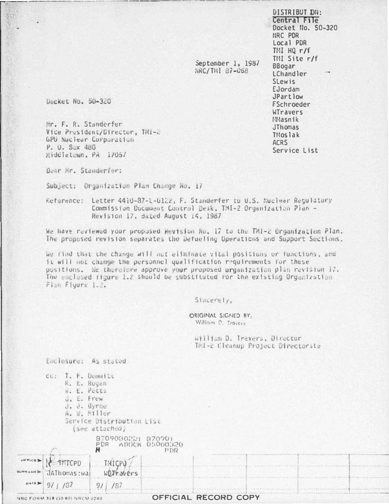DISTRIBUT DN: Central File Docket No. 50-320 NRC PDR Local PDR  $THI$   $HQ$   $r/f$ TMI Site r/f **BBogar** LChandler **SLewis** EJordam JPartlow **FSchroeder WTravers** Masnik **JThomas TMoslak ACRS** Service List

Docket No. 50-320

Mr. F. R. Standerfer Vice President/Director, IMI-2 GPU huclear Corporation P. O. Sox 480 Middletown, PA 17057

Dear Mr. Standerfer:

Subject: Organization Plan Change No. 17

Reference: Letter 4410-87-1-0122, F. Standerfer to U.S. Nuclear Regulatory Commission Document Control Desk, TMI-2 Organization Pian -Revision 17, dated August 14, 1987

We have reviewed your propused Revision No. 17 to the TMI-2 Organization Plan. The proposed revision separates the Defueling Operations and Support Sections.

we rind that the change will not elfminate vital positions or functions, and it will not change the personnel qualification requirements for these positions. We therefore approve your proposed organization plan revision i7. The enclosed figure 1.2 should be substituted for the existing Organization Plan Figure 1.2.

Sincerely,

ORIGINAL SIGNED BY William D. Travers

September 1, 1987

**NRC/THI 87-058** 

William D. Trevers, Director Tal-z Cleanup Project Directorate

Enclosure: As stated

|                 | T. F. Demailt<br>CC.<br>R. E. Rogen<br>N. E. POLLS<br>U. E. Frew<br>J. J. Byrne<br>A. M. Miller | Service Distribution List<br>(See attached) |                                                                                                                                                                                                                                |                      |                                                                                    |  |  |
|-----------------|-------------------------------------------------------------------------------------------------|---------------------------------------------|--------------------------------------------------------------------------------------------------------------------------------------------------------------------------------------------------------------------------------|----------------------|------------------------------------------------------------------------------------|--|--|
|                 |                                                                                                 | 8709080221 870701<br>PDR ADOCK 05000320     | PDR                                                                                                                                                                                                                            |                      |                                                                                    |  |  |
|                 | THICPU<br>JAThomas: wai                                                                         | THICPD<br>WOJravers                         |                                                                                                                                                                                                                                | 19-13 在全中 1-4 0-2    | (其实的地方)的国家的名词复数 电电动式输出 计二元元素 医电影 化聚乙烯酸 医副反射 医多路氏腺 医血管反射 网络哈尔斯格拉尔 的复数非洲的 化硬化碳化碳化碳化碳 |  |  |
| $\mu$ ata $\gg$ |                                                                                                 | 9/1/87                                      | (E) NORTH CONTRACT CHAIR RELEASE AND CONTRACT CONTRACT CONTRACT CONTRACT CONTRACT CONTRACT CONTRACT CONTRACT CONTRACT OF A STATISTIC CONTRACT OF A STATISTIC CONTRACT OF A STATISTIC CONTRACT OF A STATISTIC CONTRACT OF A STA |                      |                                                                                    |  |  |
|                 | NRC FORM 318 (10-80) NRCM 0240                                                                  |                                             |                                                                                                                                                                                                                                | OFFICIAL RECORD COPY |                                                                                    |  |  |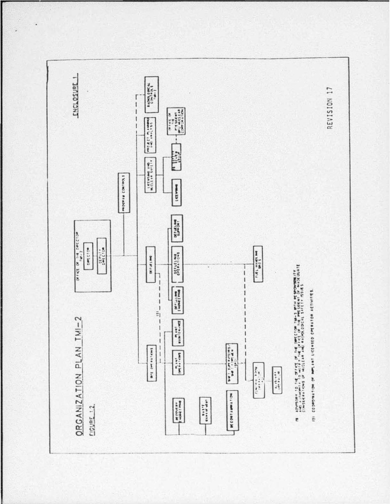